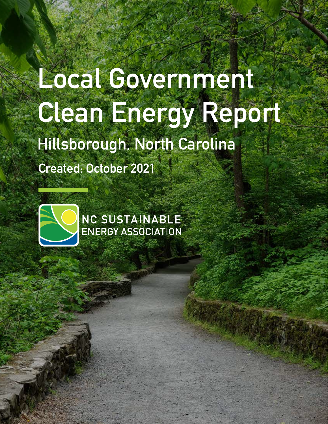# **Local Government Clean Energy Report**

**Hillsborough, North Carolina**

**Created: October 2021**



NC SUSTAINABLE<br>ENERGY ASSOCIATION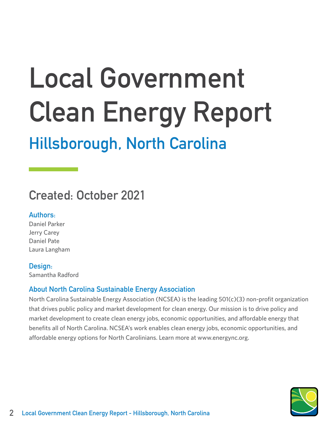# **Local Government Clean Energy Report**

# **Hillsborough, North Carolina**

# **Created: October 2021**

## **Authors:**

Daniel Parker Jerry Carey Daniel Pate Laura Langham

### **Design:**

Samantha Radford

## **About North Carolina Sustainable Energy Association**

North Carolina Sustainable Energy Association (NCSEA) is the leading 501(c)(3) non-profit organization that drives public policy and market development for clean energy. Our mission is to drive policy and market development to create clean energy jobs, economic opportunities, and affordable energy that benefits all of North Carolina. NCSEA's work enables clean energy jobs, economic opportunities, and affordable energy options for North Carolinians. Learn more at www.energync.org.

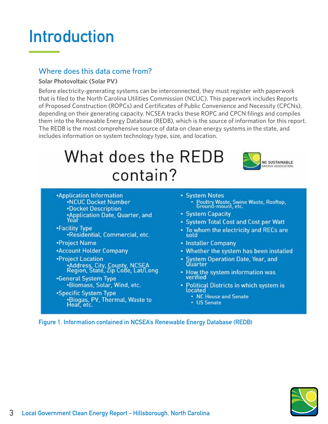# **Introduction**

## Where does this data come from?

#### **Solar Photovoltaic (Solar PV)**

Before electricity-generating systems can be interconnected, they must register with paperwork that is filed to the North Carolina Utilities Commission (NCUC). This paperwork includes Reports of Proposed Construction (ROPCs) and Certificates of Public Convenience and Necessity (CPCNs), depending on their generating capacity. NCSEA tracks these ROPC and CPCN filings and compiles them into the Renewable Energy Database (REDB), which is the source of information for this report. The REDB is the most comprehensive source of data on clean energy systems in the state, and includes information on system technology type, size, and location.

# What does the REDB contain?



- **Application Information .NCUC Docket Number .Docket Description** \*Application Date, Quarter, and<br>Year
- •Facility Type ·Residential, Commercial, etc.
- •Project Name
- \*Account Holder Company
- •Project Location .<br>• Address, City, County, NCSEA<br>Region, State, Zip Code, Lat/Long
- •General System Type .Biomass, Solar, Wind, etc.
- \*Specific System Type .Biogas, PV, Thermal, Waste to
- System Notes Poultry Waste, Swine Waste, Rooftop,
- System Capacity
- System Total Cost and Cost per Watt
- . To whom the electricity and RECs are sold
- Installer Company
- Whether the system has been installed
- System Operation Date, Year, and Quarter
- How the system information was verified
- · Political Districts in which system is located
	- NC House and Senate
	- US Senate

**Figure 1. Information contained in NCSEA's Renewable Energy Database (REDB)**

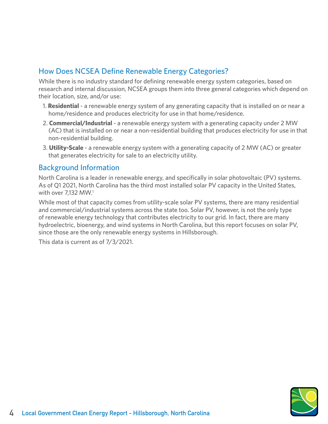# How Does NCSEA Define Renewable Energy Categories?

While there is no industry standard for defining renewable energy system categories, based on research and internal discussion, NCSEA groups them into three general categories which depend on their location, size, and/or use:

- 1. **Residential** a renewable energy system of any generating capacity that is installed on or near a home/residence and produces electricity for use in that home/residence.
- 2. **Commercial/Industrial** a renewable energy system with a generating capacity under 2 MW (AC) that is installed on or near a non-residential building that produces electricity for use in that non-residential building.
- 3. **Utility-Scale** a renewable energy system with a generating capacity of 2 MW (AC) or greater that generates electricity for sale to an electricity utility.

## Background Information

North Carolina is a leader in renewable energy, and specifically in solar photovoltaic (PV) systems. As of Q1 2021, North Carolina has the third most installed solar PV capacity in the United States, with over 7.132 MW.<sup>1</sup>

While most of that capacity comes from utility-scale solar PV systems, there are many residential and commercial/industrial systems across the state too. Solar PV, however, is not the only type of renewable energy technology that contributes electricity to our grid. In fact, there are many hydroelectric, bioenergy, and wind systems in North Carolina, but this report focuses on solar PV, since those are the only renewable energy systems in Hillsborough.

This data is current as of 7/3/2021.

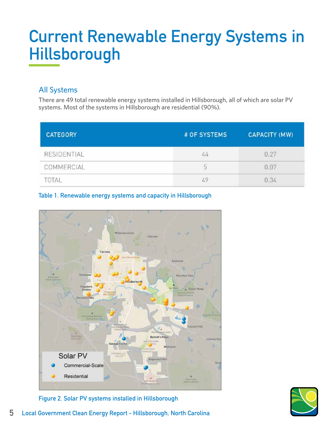# **Current Renewable Energy Systems in Hillsborough**

# All Systems

There are 49 total renewable energy systems installed in Hillsborough, all of which are solar PV systems. Most of the systems in Hillsborough are residential (90%).

| <b>CATEGORY</b> | # OF SYSTEMS | <b>CAPACITY (MW)</b> |
|-----------------|--------------|----------------------|
| RESIDENTIAL     | 44           |                      |
| COMMERCIAL      | 5            |                      |
| IΔI             | 49           | 0.34                 |

### **Table 1. Renewable energy systems and capacity in Hillsborough**







**5 Local Government Clean Energy Report - Hillsborough, North Carolina**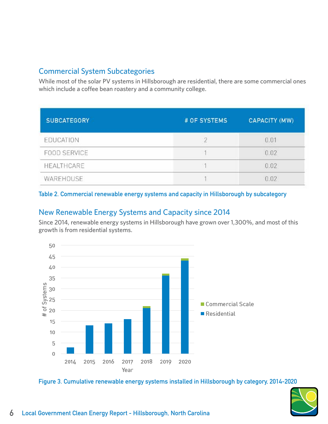# Commercial System Subcategories

While most of the solar PV systems in Hillsborough are residential, there are some commercial ones which include a coffee bean roastery and a community college.

| <b>SUBCATEGORY</b>  | # OF SYSTEMS | <b>CAPACITY (MW)</b> |
|---------------------|--------------|----------------------|
| EDUCATION           |              | 0.01                 |
| <b>FOOD SERVICE</b> |              | 0.02                 |
| HEALTHCARE          |              | 0.02                 |
| WAREHOUSE           |              | 0.02                 |

#### **Table 2. Commercial renewable energy systems and capacity in Hillsborough by subcategory**

## New Renewable Energy Systems and Capacity since 2014

Since 2014, renewable energy systems in Hillsborough have grown over 1,300%, and most of this growth is from residential systems.



**Figure 3. Cumulative renewable energy systems installed in Hillsborough by category, 2014-2020**

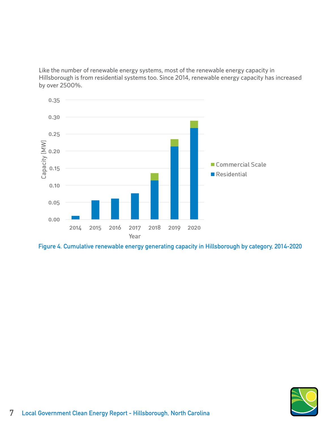Like the number of renewable energy systems, most of the renewable energy capacity in Hillsborough is from residential systems too. Since 2014, renewable energy capacity has increased by over 2500%.



**Figure 4. Cumulative renewable energy generating capacity in Hillsborough by category, 2014-2020**

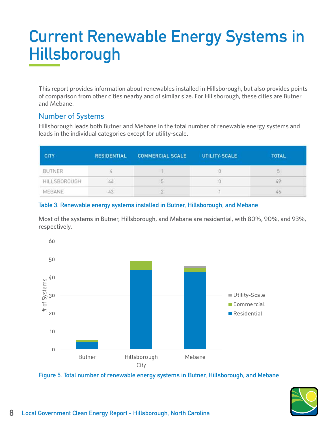# **Current Renewable Energy Systems in Hillsborough**

This report provides information about renewables installed in Hillsborough, but also provides points of comparison from other cities nearby and of similar size. For Hillsborough, these cities are Butner and Mebane.

## Number of Systems

Hillsborough leads both Butner and Mebane in the total number of renewable energy systems and leads in the individual categories except for utility-scale.

| <b>CITY</b>   | <b>RESIDENTIAL</b> | <b>COMMERCIAL SCALE</b> | UTILITY-SCALE | <b>TOTAL</b> |
|---------------|--------------------|-------------------------|---------------|--------------|
| <b>BUTNER</b> |                    |                         |               |              |
| HILLSBOROUGH  | 44                 | 5                       |               |              |
| <b>MEBANE</b> |                    |                         |               |              |

#### **Table 3. Renewable energy systems installed in Butner, Hillsborough, and Mebane**

Most of the systems in Butner, Hillsborough, and Mebane are residential, with 80%, 90%, and 93%, respectively.



**Figure 5. Total number of renewable energy systems in Butner, Hillsborough, and Mebane**

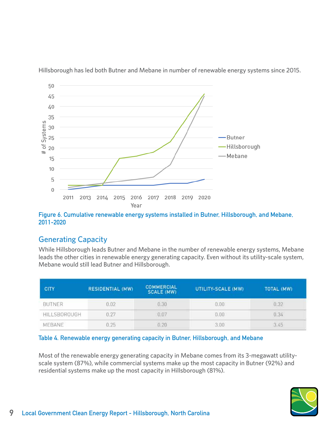

Hillsborough has led both Butner and Mebane in number of renewable energy systems since 2015.

#### **Figure 6. Cumulative renewable energy systems installed in Butner, Hillsborough, and Mebane, 2011-2020**

## Generating Capacity

While Hillsborough leads Butner and Mebane in the number of renewable energy systems, Mebane leads the other cities in renewable energy generating capacity. Even without its utility-scale system, Mebane would still lead Butner and Hillsborough.

| CITY          | <b>RESIDENTIAL (MW)</b> | <b>COMMERCIAL</b><br><b>SCALE (MW)</b> | UTILITY-SCALE (MW) | TOTAL (MW) |
|---------------|-------------------------|----------------------------------------|--------------------|------------|
| <b>BUTNER</b> | 0.02<br>--              | 0.30                                   | 0.00               | 0.32       |
| HILLSBOROUGH  | 0.27                    | 0.07                                   | 0.00               | 0.34       |
| MEBANE        | 0.25                    | 0.20                                   | 3.00               | 3.45       |

#### **Table 4. Renewable energy generating capacity in Butner, Hillsborough, and Mebane**

Most of the renewable energy generating capacity in Mebane comes from its 3-megawatt utilityscale system (87%), while commercial systems make up the most capacity in Butner (92%) and residential systems make up the most capacity in Hillsborough (81%).

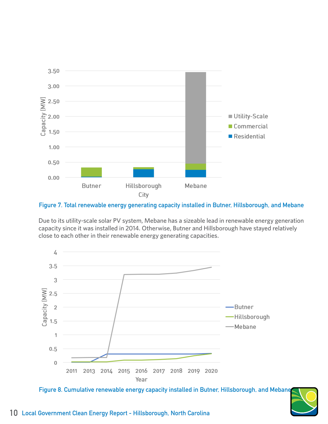

**Figure 7. Total renewable energy generating capacity installed in Butner, Hillsborough, and Mebane**

Due to its utility-scale solar PV system, Mebane has a sizeable lead in renewable energy generation capacity since it was installed in 2014. Otherwise, Butner and Hillsborough have stayed relatively close to each other in their renewable energy generating capacities.



**Figure 8. Cumulative renewable energy capacity installed in Butner, Hillsborough, and Mebane,** 

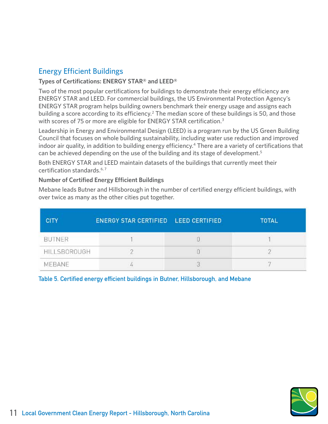# Energy Efficient Buildings

#### **Types of Certifications: ENERGY STAR® and LEED®**

Two of the most popular certifications for buildings to demonstrate their energy efficiency are ENERGY STAR and LEED. For commercial buildings, the US Environmental Protection Agency's ENERGY STAR program helps building owners benchmark their energy usage and assigns each building a score according to its efficiency.<sup>2</sup> The median score of these buildings is 50, and those with scores of 75 or more are eligible for ENERGY STAR certification.<sup>3</sup>

Leadership in Energy and Environmental Design (LEED) is a program run by the US Green Building Council that focuses on whole building sustainability, including water use reduction and improved indoor air quality, in addition to building energy efficiency.<sup>4</sup> There are a variety of certifications that can be achieved depending on the use of the building and its stage of development.<sup>5</sup>

Both ENERGY STAR and LEED maintain datasets of the buildings that currently meet their certification standards.<sup>6,7</sup>

#### **Number of Certified Energy Efficient Buildings**

Mebane leads Butner and Hillsborough in the number of certified energy efficient buildings, with over twice as many as the other cities put together.

| <b>CITY</b>   | ENERGY STAR CERTIFIED LEED CERTIFIED | <b>TOTAL</b> |
|---------------|--------------------------------------|--------------|
| <b>BUTNER</b> |                                      |              |
| HILLSBOROUGH  |                                      |              |
| MEBANE        |                                      |              |

**Table 5. Certified energy efficient buildings in Butner, Hillsborough, and Mebane**

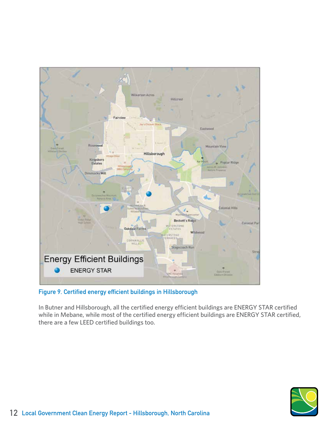

**Figure 9. Certified energy efficient buildings in Hillsborough**

In Butner and Hillsborough, all the certified energy efficient buildings are ENERGY STAR certified while in Mebane, while most of the certified energy efficient buildings are ENERGY STAR certified, there are a few LEED certified buildings too.

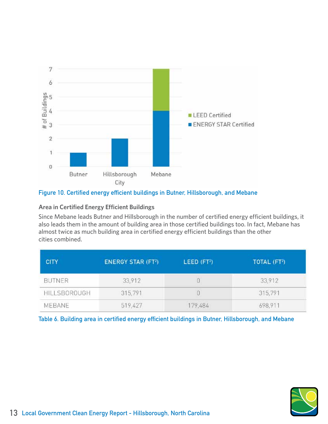

#### **Figure 10. Certified energy efficient buildings in Butner, Hillsborough, and Mebane**

#### **Area in Certified Energy Efficient Buildings**

Since Mebane leads Butner and Hillsborough in the number of certified energy efficient buildings, it also leads them in the amount of building area in those certified buildings too. In fact, Mebane has almost twice as much building area in certified energy efficient buildings than the other cities combined.

| <b>CITY</b>   | <b>ENERGY STAR (FT2)</b> | LEED (FT <sup>2</sup> ) | TOTAL (FT <sup>2</sup> ) |
|---------------|--------------------------|-------------------------|--------------------------|
| <b>BUTNER</b> | 33,912                   |                         | 33,912                   |
| HILLSBOROUGH  | 315,791                  |                         | 315,791                  |
| MEBANE        | 519,427                  | 179,484                 | 698,911                  |

**Table 6. Building area in certified energy efficient buildings in Butner, Hillsborough, and Mebane**

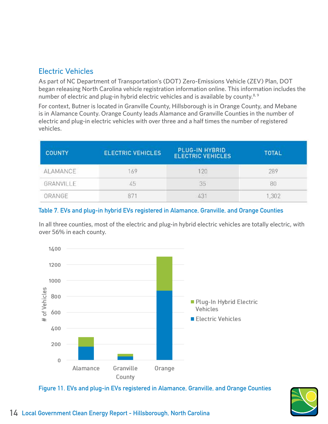# Electric Vehicles

As part of NC Department of Transportation's (DOT) Zero-Emissions Vehicle (ZEV) Plan, DOT began releasing North Carolina vehicle registration information online. This information includes the number of electric and plug-in hybrid electric vehicles and is available by county.<sup>8,9</sup>

For context, Butner is located in Granville County, Hillsborough is in Orange County, and Mebane is in Alamance County. Orange County leads Alamance and Granville Counties in the number of electric and plug-in electric vehicles with over three and a half times the number of registered vehicles.

| <b>COUNTY</b> | <b>ELECTRIC VEHICLES</b> | PLUG-IN HYBRID<br><b>ELECTRIC VEHICLES</b> | <b>TOTAL</b> |
|---------------|--------------------------|--------------------------------------------|--------------|
| ALAMANCE      | 69                       | 120                                        | 289          |
| GRANVILLE     | 45                       | 35                                         | 80           |
| ORANGE        |                          |                                            | 1,302        |

#### **Table 7. EVs and plug-in hybrid EVs registered in Alamance, Granville, and Orange Counties**

In all three counties, most of the electric and plug-in hybrid electric vehicles are totally electric, with over 56% in each county.



**Figure 11. EVs and plug-in EVs registered in Alamance, Granville, and Orange Counties**

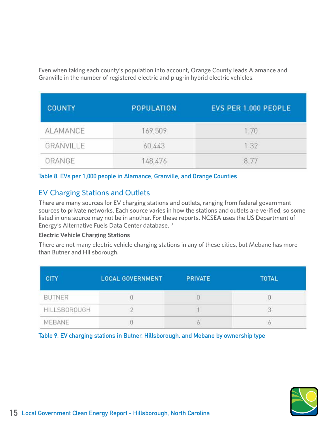Even when taking each county's population into account, Orange County leads Alamance and Granville in the number of registered electric and plug-in hybrid electric vehicles.

| <b>COUNTY</b> | <b>POPULATION</b> | EVS PER 1,000 PEOPLE |
|---------------|-------------------|----------------------|
| ALAMANCE      | 169,509           | 1.70                 |
| GRANVILLE     | 60,443            | 1.32                 |
| ORANGE        | 148,476           |                      |

**Table 8. EVs per 1,000 people in Alamance, Granville, and Orange Counties**

# EV Charging Stations and Outlets

There are many sources for EV charging stations and outlets, ranging from federal government sources to private networks. Each source varies in how the stations and outlets are verified, so some listed in one source may not be in another. For these reports, NCSEA uses the US Department of Energy's Alternative Fuels Data Center database.<sup>10</sup>

#### **Electric Vehicle Charging Stations**

There are not many electric vehicle charging stations in any of these cities, but Mebane has more than Butner and Hillsborough.

| <b>CITY</b>   | <b>LOCAL GOVERNMENT</b> | <b>PRIVATE</b> | <b>TOTAL</b> |
|---------------|-------------------------|----------------|--------------|
| <b>BUTNER</b> |                         |                |              |
| HILLSBOROUGH  |                         |                |              |
| MEBANE        |                         |                |              |

**Table 9. EV charging stations in Butner, Hillsborough, and Mebane by ownership type**

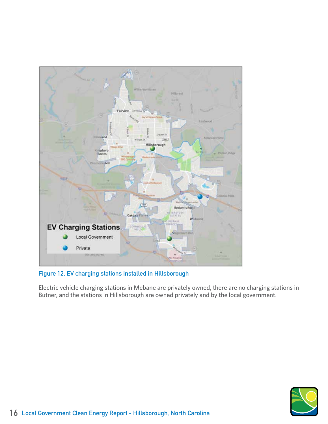

**Figure 12. EV charging stations installed in Hillsborough**

Electric vehicle charging stations in Mebane are privately owned, there are no charging stations in Butner, and the stations in Hillsborough are owned privately and by the local government.

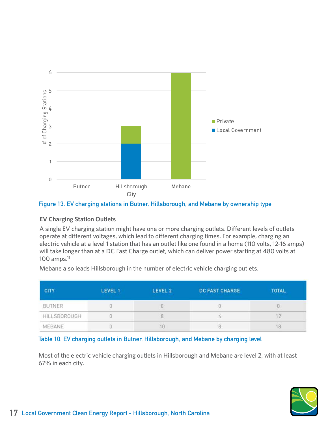

#### **Figure 13. EV charging stations in Butner, Hillsborough, and Mebane by ownership type**

#### **EV Charging Station Outlets**

A single EV charging station might have one or more charging outlets. Different levels of outlets operate at different voltages, which lead to different charging times. For example, charging an electric vehicle at a level 1 station that has an outlet like one found in a home (110 volts, 12-16 amps) will take longer than at a DC Fast Charge outlet, which can deliver power starting at 480 volts at  $100$  amps. $<sup>11</sup>$ </sup>

Mebane also leads Hillsborough in the number of electric vehicle charging outlets.

| <b>CITY</b>         | LEVEL 1 | LEVEL 2 | <b>DC FAST CHARGE</b> | <b>TOTAL</b> |
|---------------------|---------|---------|-----------------------|--------------|
| BUTNER              |         |         |                       |              |
| <b>HILLSBOROUGH</b> |         | ö       |                       |              |
| MEBANE              |         | 10      |                       |              |

#### **Table 10. EV charging outlets in Butner, Hillsborough, and Mebane by charging level**

Most of the electric vehicle charging outlets in Hillsborough and Mebane are level 2, with at least 67% in each city.

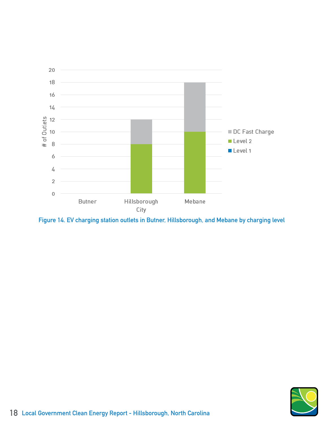

**Figure 14. EV charging station outlets in Butner, Hillsborough, and Mebane by charging level**